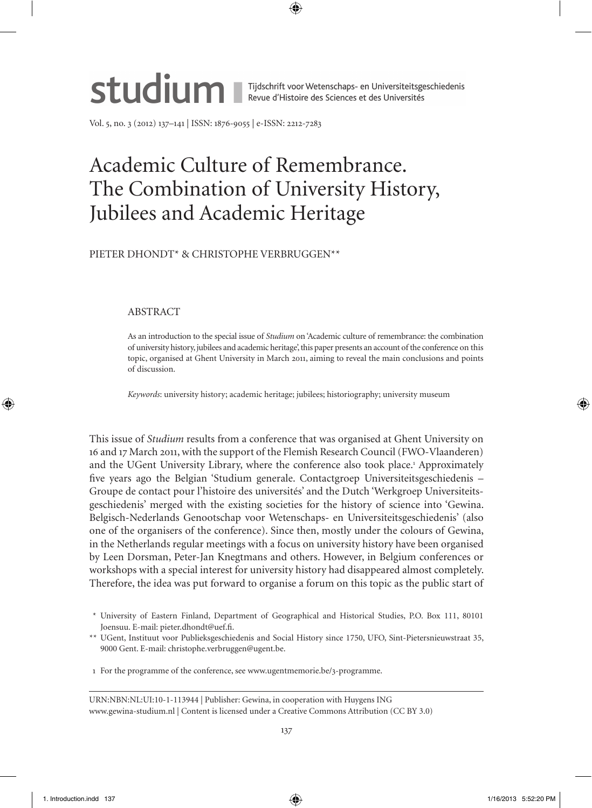Studium Revue d'Histoire des Sciences et des Universiteitsgeschiedenis

Vol. 5, no. 3 (2012) 137-141 | ISSN: 1876-9055 | e-ISSN: 2212-7283

## Academic Culture of Remembrance. The Combination of University History, Jubilees and Academic Heritage

PIETER DHONDT\* & CHRISTOPHE VERBRUGGEN\*\*

## ABSTRACT

As an introduction to the special issue of *Studium* on 'Academic culture of remembrance: the combination of university history, jubilees and academic heritage', this paper presents an account of the conference on this topic, organised at Ghent University in March 2011, aiming to reveal the main conclusions and points of discussion.

*Keywords*: university history; academic heritage; jubilees; historiography; university museum

This issue of *Studium* results from a conference that was organised at Ghent University on 16 and 17 March 2011, with the support of the Flemish Research Council (FWO-Vlaanderen) and the UGent University Library, where the conference also took place. Approximately five years ago the Belgian 'Studium generale. Contactgroep Universiteitsgeschiedenis – Groupe de contact pour l'histoire des universités' and the Dutch 'Werkgroep Universiteitsgeschiedenis' merged with the existing societies for the history of science into 'Gewina. Belgisch-Nederlands Genootschap voor Wetenschaps- en Universiteitsgeschiedenis' (also one of the organisers of the conference). Since then, mostly under the colours of Gewina, in the Netherlands regular meetings with a focus on university history have been organised by Leen Dorsman, Peter-Jan Knegtmans and others. However, in Belgium conferences or workshops with a special interest for university history had disappeared almost completely. Therefore, the idea was put forward to organise a forum on this topic as the public start of

1 For the programme of the conference, see www.ugentmemorie.be/3-programme.

URN:NBN:NL:UI:10-1-113944 | Publisher: Gewina, in cooperation with Huygens ING www.gewina-studium.nl | Content is licensed under a Creative Commons Attribution (CC BY 3.0)

<sup>\*</sup> University of Eastern Finland, Department of Geographical and Historical Studies, P.O. Box 111, 80101 Joensuu. E-mail: pieter.dhondt@uef.fi.

<sup>\*\*</sup> UGent, Instituut voor Publieksgeschiedenis and Social History since 1750, UFO, Sint-Pietersnieuwstraat 35, 9000 Gent. E-mail: christophe.verbruggen@ugent.be.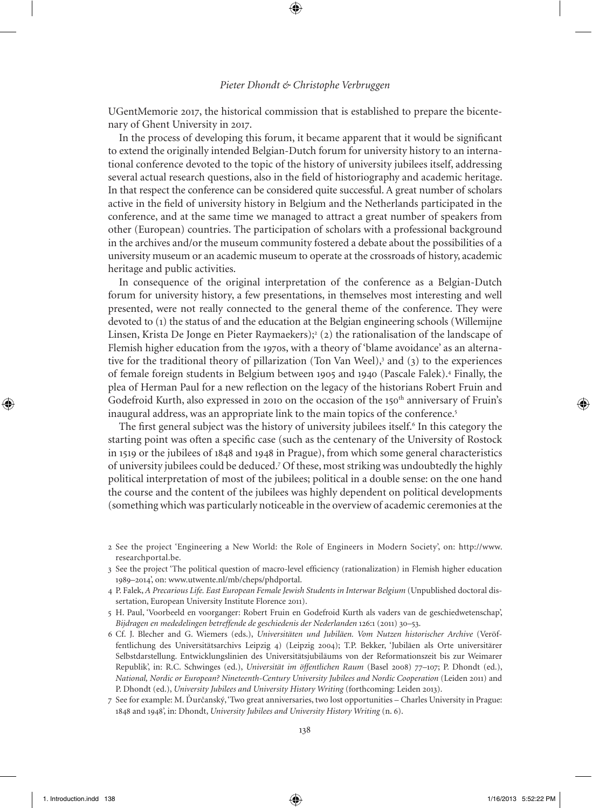UGentMemorie 2017, the historical commission that is established to prepare the bicentenary of Ghent University in 2017.

In the process of developing this forum, it became apparent that it would be significant to extend the originally intended Belgian-Dutch forum for university history to an international conference devoted to the topic of the history of university jubilees itself, addressing several actual research questions, also in the field of historiography and academic heritage. In that respect the conference can be considered quite successful. A great number of scholars active in the field of university history in Belgium and the Netherlands participated in the conference, and at the same time we managed to attract a great number of speakers from other (European) countries. The participation of scholars with a professional background in the archives and/or the museum community fostered a debate about the possibilities of a university museum or an academic museum to operate at the crossroads of history, academic heritage and public activities.

In consequence of the original interpretation of the conference as a Belgian-Dutch forum for university history, a few presentations, in themselves most interesting and well presented, were not really connected to the general theme of the conference. They were devoted to  $(i)$  the status of and the education at the Belgian engineering schools (Willemijne Linsen, Krista De Jonge en Pieter Raymaekers);<sup>2</sup> (2) the rationalisation of the landscape of Flemish higher education from the 1970s, with a theory of 'blame avoidance' as an alternative for the traditional theory of pillarization (Ton Van Weel), $\delta$  and (3) to the experiences of female foreign students in Belgium between 1905 and 1940 (Pascale Falek).<sup>4</sup> Finally, the plea of Herman Paul for a new reflection on the legacy of the historians Robert Fruin and Godefroid Kurth, also expressed in 2010 on the occasion of the  $150<sup>th</sup>$  anniversary of Fruin's inaugural address, was an appropriate link to the main topics of the conference.

The first general subject was the history of university jubilees itself. In this category the starting point was often a specific case (such as the centenary of the University of Rostock in 1519 or the jubilees of  $1848$  and  $1948$  in Prague), from which some general characteristics of university jubilees could be deduced. Of these, most striking was undoubtedly the highly political interpretation of most of the jubilees; political in a double sense: on the one hand the course and the content of the jubilees was highly dependent on political developments (something which was particularly noticeable in the overview of academic ceremonies at the

- See the project 'Engineering a New World: the Role of Engineers in Modern Society', on: http://www. researchportal.be.
- See the project 'The political question of macro-level efficiency (rationalization) in Flemish higher education 1989-2014', on: www.utwente.nl/mb/cheps/phdportal.
- P. Falek, *A Precarious Life. East European Female Jewish Students in Interwar Belgium* (Unpublished doctoral dissertation, European University Institute Florence 2011).
- H. Paul, 'Voorbeeld en voorganger: Robert Fruin en Godefroid Kurth als vaders van de geschiedwetenschap', Bijdragen en mededelingen betreffende de geschiedenis der Nederlanden 126:1 (2011) 30–53.
- Cf. J. Blecher and G. Wiemers (eds.), *Universitäten und Jubiläen. Vom Nutzen historischer Archive* (Veröffentlichung des Universitätsarchivs Leipzig 4) (Leipzig 2004); T.P. Bekker, 'Jubiläen als Orte universitärer Selbstdarstellung. Entwicklungslinien des Universitätsjubiläums von der Reformationszeit bis zur Weimarer Republik', in: R.C. Schwinges (ed.), *Universität im öffentlichen Raum* (Basel 2008) 77-107; P. Dhondt (ed.), *National, Nordic or European? Nineteenth*-*Century University Jubilees and Nordic Cooperation* (Leiden ) and P. Dhondt (ed.), *University Jubilees and University History Writing* (forthcoming: Leiden 2013).
- 7 See for example: M. Durčanský, 'Two great anniversaries, two lost opportunities Charles University in Prague: 1848 and 1948', in: Dhondt, *University Jubilees and University History Writing* (n. 6).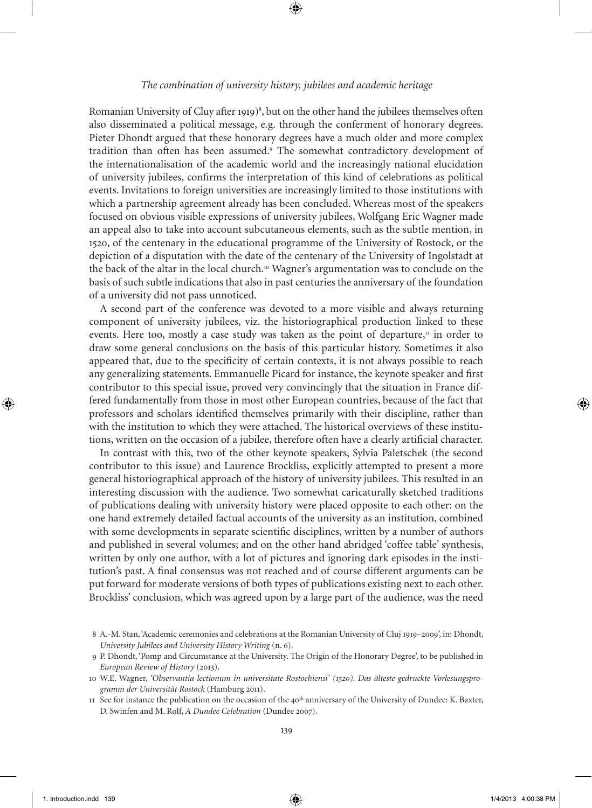Romanian University of Cluy after 1919) $^{\circ}$ , but on the other hand the jubilees themselves often also disseminated a political message, e.g. through the conferment of honorary degrees. Pieter Dhondt argued that these honorary degrees have a much older and more complex tradition than often has been assumed. The somewhat contradictory development of the internationalisation of the academic world and the increasingly national elucidation of university jubilees, confirms the interpretation of this kind of celebrations as political events. Invitations to foreign universities are increasingly limited to those institutions with which a partnership agreement already has been concluded. Whereas most of the speakers focused on obvious visible expressions of university jubilees, Wolfgang Eric Wagner made an appeal also to take into account subcutaneous elements, such as the subtle mention, in 1520, of the centenary in the educational programme of the University of Rostock, or the depiction of a disputation with the date of the centenary of the University of Ingolstadt at the back of the altar in the local church.<sup>10</sup> Wagner's argumentation was to conclude on the basis of such subtle indications that also in past centuries the anniversary of the foundation of a university did not pass unnoticed.

A second part of the conference was devoted to a more visible and always returning component of university jubilees, viz. the historiographical production linked to these events. Here too, mostly a case study was taken as the point of departure, $\mu$  in order to draw some general conclusions on the basis of this particular history. Sometimes it also appeared that, due to the specificity of certain contexts, it is not always possible to reach any generalizing statements. Emmanuelle Picard for instance, the keynote speaker and first contributor to this special issue, proved very convincingly that the situation in France differed fundamentally from those in most other European countries, because of the fact that professors and scholars identified themselves primarily with their discipline, rather than with the institution to which they were attached. The historical overviews of these institutions, written on the occasion of a jubilee, therefore often have a clearly artificial character.

In contrast with this, two of the other keynote speakers, Sylvia Paletschek (the second contributor to this issue) and Laurence Brockliss, explicitly attempted to present a more general historiographical approach of the history of university jubilees. This resulted in an interesting discussion with the audience. Two somewhat caricaturally sketched traditions of publications dealing with university history were placed opposite to each other: on the one hand extremely detailed factual accounts of the university as an institution, combined with some developments in separate scientific disciplines, written by a number of authors and published in several volumes; and on the other hand abridged 'coffee table' synthesis, written by only one author, with a lot of pictures and ignoring dark episodes in the institution's past. A final consensus was not reached and of course different arguments can be put forward for moderate versions of both types of publications existing next to each other. Brockliss' conclusion, which was agreed upon by a large part of the audience, was the need

11 See for instance the publication on the occasion of the  $40<sup>th</sup>$  anniversary of the University of Dundee: K. Baxter, D. Swinfen and M. Rolf, *A Dundee Celebration* (Dundee 2007).

<sup>8</sup> A.-M. Stan, 'Academic ceremonies and celebrations at the Romanian University of Cluj 1919-2009', in: Dhondt, *University Jubilees and University History Writing* (n. 6).

P. Dhondt, 'Pomp and Circumstance at the University. The Origin of the Honorary Degree', to be published in *European Review of History* (2013).

W.E. Wagner, *'Observantia lectionum in universitate Rostochiensi' (). Das älteste gedruckte Vorlesungspro*gramm der Universität Rostock (Hamburg 2011).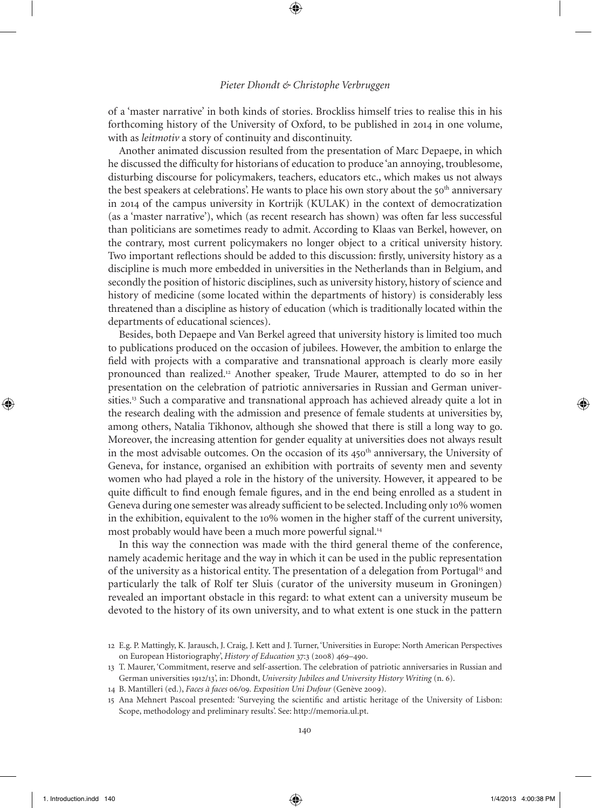of a 'master narrative' in both kinds of stories. Brockliss himself tries to realise this in his forthcoming history of the University of Oxford, to be published in 2014 in one volume, with as *leitmotiv* a story of continuity and discontinuity.

Another animated discussion resulted from the presentation of Marc Depaepe, in which he discussed the difficulty for historians of education to produce 'an annoying, troublesome, disturbing discourse for policymakers, teachers, educators etc., which makes us not always the best speakers at celebrations'. He wants to place his own story about the  $50<sup>th</sup>$  anniversary in 2014 of the campus university in Kortrijk (KULAK) in the context of democratization (as a 'master narrative'), which (as recent research has shown) was often far less successful than politicians are sometimes ready to admit. According to Klaas van Berkel, however, on the contrary, most current policymakers no longer object to a critical university history. Two important reflections should be added to this discussion: firstly, university history as a discipline is much more embedded in universities in the Netherlands than in Belgium, and secondly the position of historic disciplines, such as university history, history of science and history of medicine (some located within the departments of history) is considerably less threatened than a discipline as history of education (which is traditionally located within the departments of educational sciences).

Besides, both Depaepe and Van Berkel agreed that university history is limited too much to publications produced on the occasion of jubilees. However, the ambition to enlarge the field with projects with a comparative and transnational approach is clearly more easily pronounced than realized.<sup>12</sup> Another speaker, Trude Maurer, attempted to do so in her presentation on the celebration of patriotic anniversaries in Russian and German universities.<sup>13</sup> Such a comparative and transnational approach has achieved already quite a lot in the research dealing with the admission and presence of female students at universities by, among others, Natalia Tikhonov, although she showed that there is still a long way to go. Moreover, the increasing attention for gender equality at universities does not always result in the most advisable outcomes. On the occasion of its 450<sup>th</sup> anniversary, the University of Geneva, for instance, organised an exhibition with portraits of seventy men and seventy women who had played a role in the history of the university. However, it appeared to be quite difficult to find enough female figures, and in the end being enrolled as a student in Geneva during one semester was already sufficient to be selected. Including only 10% women in the exhibition, equivalent to the  $10\%$  women in the higher staff of the current university, most probably would have been a much more powerful signal.

In this way the connection was made with the third general theme of the conference, namely academic heritage and the way in which it can be used in the public representation of the university as a historical entity. The presentation of a delegation from Portugal<sup>15</sup> and particularly the talk of Rolf ter Sluis (curator of the university museum in Groningen) revealed an important obstacle in this regard: to what extent can a university museum be devoted to the history of its own university, and to what extent is one stuck in the pattern

14 B. Mantilleri (ed.), *Faces à faces* 06/09. Exposition Uni Dufour (Genève 2009).

E.g. P. Mattingly, K. Jarausch, J. Craig, J. Kett and J. Turner, 'Universities in Europe: North American Perspectives on European Historiography', *History of Education* 37:3 (2008) 469-490.

T. Maurer, 'Commitment, reserve and self-assertion. The celebration of patriotic anniversaries in Russian and German universities 1912/13, in: Dhondt, *University Jubilees and University History Writing* (n. 6).

Ana Mehnert Pascoal presented: 'Surveying the scientific and artistic heritage of the University of Lisbon: Scope, methodology and preliminary results'. See: http://memoria.ul.pt.